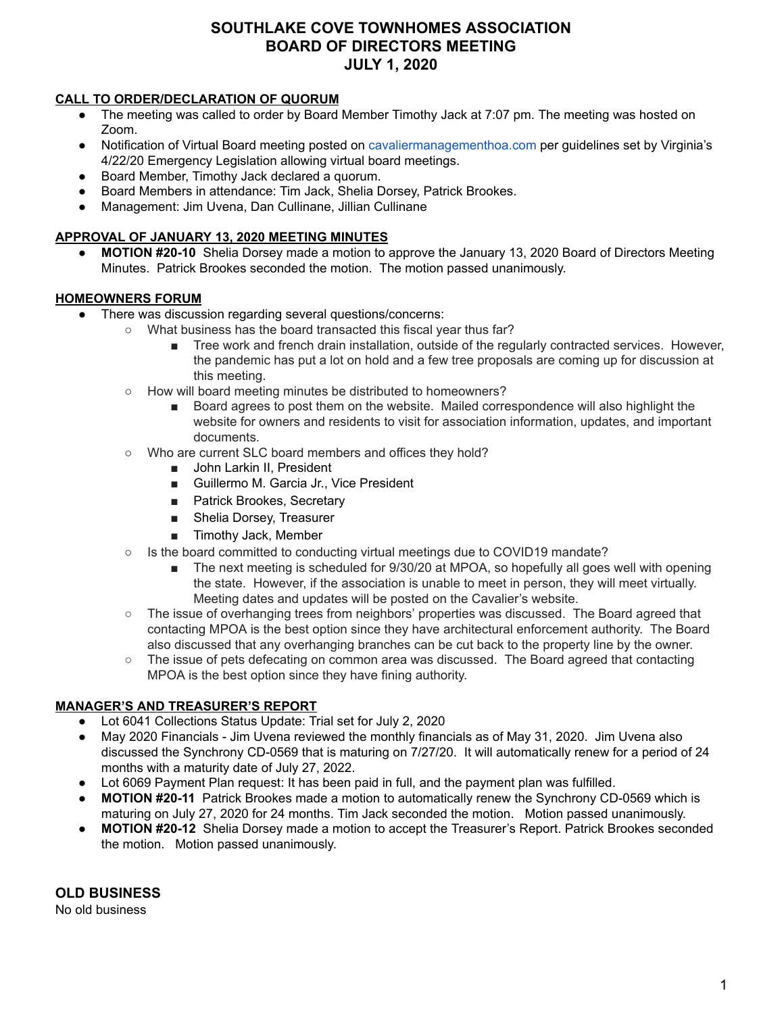# **SOUTHLAKE COVE TOWNHOMES ASSOCIATION BOARD OF DIRECTORS MEETING JULY 1, 2020**

### **CALL TO ORDER/DECLARATION OF QUORUM**

- The meeting was called to order by Board Member Timothy Jack at 7:07 pm. The meeting was hosted on Zoom.
- Notification of Virtual Board meeting posted o[n](http://cavaliermanagementhoa.com/) [cavaliermanagementhoa.com](http://cavaliermanagementhoa.com/) per guidelines set by Virginia's 4/22/20 Emergency Legislation allowing virtual board meetings.
- Board Member, Timothy Jack declared a quorum.
- Board Members in attendance: Tim Jack, Shelia Dorsey, Patrick Brookes.
- Management: Jim Uvena, Dan Cullinane, Jillian Cullinane

# **APPROVAL OF JANUARY 13, 2020 MEETING MINUTES**

**● MOTION #20-10** Shelia Dorsey made a motion to approve the January 13, 2020 Board of Directors Meeting Minutes. Patrick Brookes seconded the motion. The motion passed unanimously.

# **HOMEOWNERS FORUM**

- There was discussion regarding several questions/concerns:
	- What business has the board transacted this fiscal year thus far?
		- Tree work and french drain installation, outside of the regularly contracted services. However, the pandemic has put a lot on hold and a few tree proposals are coming up for discussion at this meeting.
	- How will board meeting minutes be distributed to homeowners?
		- Board agrees to post them on the website. Mailed correspondence will also highlight the website for owners and residents to visit for association information, updates, and important documents.
	- Who are current SLC board members and offices they hold?
		- John Larkin II, President
		- Guillermo M. Garcia Jr., Vice President
		- Patrick Brookes, Secretary
		- Shelia Dorsey, Treasurer
		- Timothy Jack, Member
	- Is the board committed to conducting virtual meetings due to COVID19 mandate?
		- The next meeting is scheduled for 9/30/20 at MPOA, so hopefully all goes well with opening the state. However, if the association is unable to meet in person, they will meet virtually. Meeting dates and updates will be posted on the Cavalier's website.
	- The issue of overhanging trees from neighbors' properties was discussed. The Board agreed that contacting MPOA is the best option since they have architectural enforcement authority. The Board also discussed that any overhanging branches can be cut back to the property line by the owner.
	- The issue of pets defecating on common area was discussed. The Board agreed that contacting MPOA is the best option since they have fining authority.

# **MANAGER'S AND TREASURER'S REPORT**

- Lot 6041 Collections Status Update: Trial set for July 2, 2020
- May 2020 Financials Jim Uvena reviewed the monthly financials as of May 31, 2020. Jim Uvena also discussed the Synchrony CD-0569 that is maturing on 7/27/20. It will automatically renew for a period of 24 months with a maturity date of July 27, 2022.
- Lot 6069 Payment Plan request: It has been paid in full, and the payment plan was fulfilled.
- **MOTION #20-11** Patrick Brookes made a motion to automatically renew the Synchrony CD-0569 which is maturing on July 27, 2020 for 24 months. Tim Jack seconded the motion. Motion passed unanimously.
- **MOTION #20-12** Shelia Dorsey made a motion to accept the Treasurer's Report. Patrick Brookes seconded the motion. Motion passed unanimously.

**OLD BUSINESS**

No old business